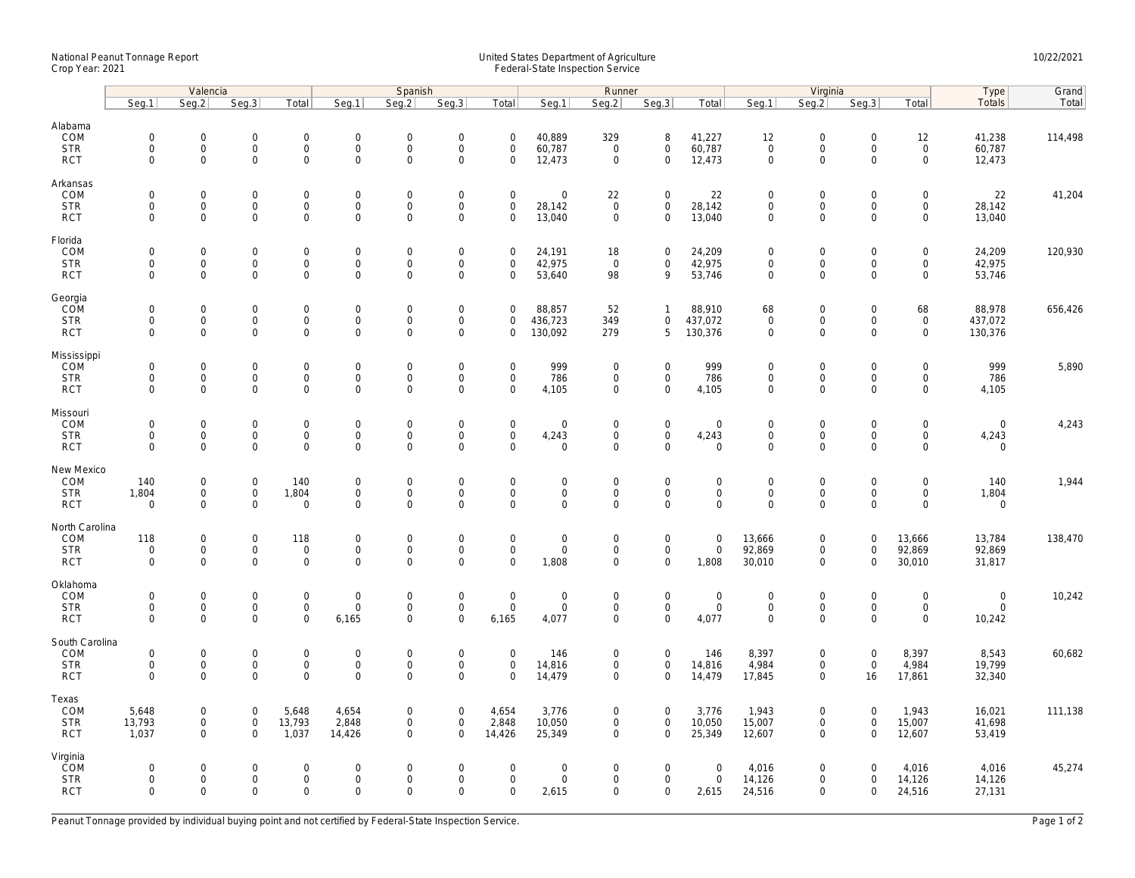## National Peanut Tonnage Report United States Department of Agriculture 10/22/2021<br>Crop Year: 2021 Federal-State Inspection Service

|                                                    | Valencia                                  |                                                           |                                                   |                                                           | Spanish                                            |                                                   |                                                           |                                                           | Runner                                                 |                                           |                                                           |                                            |                                                           | Virginia                                           |                                                        | Type                                                       | Grand                                 |         |
|----------------------------------------------------|-------------------------------------------|-----------------------------------------------------------|---------------------------------------------------|-----------------------------------------------------------|----------------------------------------------------|---------------------------------------------------|-----------------------------------------------------------|-----------------------------------------------------------|--------------------------------------------------------|-------------------------------------------|-----------------------------------------------------------|--------------------------------------------|-----------------------------------------------------------|----------------------------------------------------|--------------------------------------------------------|------------------------------------------------------------|---------------------------------------|---------|
|                                                    | Seg.1                                     | Seg.2                                                     | Seg.3                                             | Total                                                     | Seg.1                                              | Seg.2                                             | Seg.3                                                     | Total                                                     | Seg.1                                                  | Seg.2                                     | Seg.3                                                     | Total                                      | Seg.1                                                     | Seq.2                                              | Seg.3                                                  | Total                                                      | <b>Totals</b>                         | Total   |
| Alabama<br>COM<br><b>STR</b><br><b>RCT</b>         | $\mathbf 0$<br>$\mathbf 0$<br>$\mathbf 0$ | $\mathbf 0$<br>$\mathsf{O}\xspace$<br>$\mathbf 0$         | $\mathbf 0$<br>$\mathsf{O}$<br>$\mathbf 0$        | $\mathbf 0$<br>$\mathsf{O}\xspace$<br>$\mathbf 0$         | $\mathbf 0$<br>$\mathsf{O}\xspace$<br>$\mathbf 0$  | $\mathbf 0$<br>$\mathsf{O}\xspace$<br>$\mathbf 0$ | $\mathbf 0$<br>$\mathsf{O}\xspace$<br>$\mathbf 0$         | $\mathbf 0$<br>$\mathsf{O}\xspace$<br>$\mathbf 0$         | 40,889<br>60,787<br>12,473                             | 329<br>$\mathbf 0$<br>$\mathsf 0$         | 8<br>$\mathsf{O}\xspace$<br>$\mathbf 0$                   | 41,227<br>60,787<br>12,473                 | 12<br>$\mathsf 0$<br>$\mathsf{O}\xspace$                  | $\mathbf 0$<br>$\mathsf{O}\xspace$<br>$\mathbf 0$  | $\mathbf 0$<br>$\mathsf{O}\xspace$<br>$\mathbf 0$      | 12<br>$\mathsf 0$<br>$\mathsf{O}\xspace$                   | 41,238<br>60,787<br>12,473            | 114,498 |
| Arkansas<br>COM<br><b>STR</b><br><b>RCT</b>        | $\mathbf 0$<br>$\mathbf 0$<br>$\mathbf 0$ | $\mathbf 0$<br>$\mathbf 0$<br>$\mathsf{O}\xspace$         | $\mathsf{O}\xspace$<br>$\mathbf 0$<br>$\mathbf 0$ | $\mathsf{O}\xspace$<br>$\mathsf{O}\xspace$<br>$\mathbf 0$ | $\mathbf 0$<br>$\mathsf{O}$<br>$\mathsf 0$         | $\mathbf 0$<br>$\mathbf 0$<br>$\mathbf 0$         | $\mathbf 0$<br>$\mathsf{O}\xspace$<br>$\mathsf{O}\xspace$ | $\mathbf 0$<br>$\mathbf 0$<br>$\mathbf 0$                 | $\mathsf{O}\xspace$<br>28,142<br>13,040                | 22<br>$\mathbf 0$<br>$\mathbf 0$          | $\mathbf 0$<br>$\mathbf 0$<br>$\mathbf 0$                 | 22<br>28,142<br>13,040                     | $\mathbf 0$<br>$\mathbf 0$<br>$\mathbf 0$                 | $\mathbf 0$<br>$\mathbf 0$<br>$\mathbf 0$          | $\mathbf 0$<br>$\mathbf 0$<br>0                        | $\mathsf{O}\xspace$<br>$\mathbf 0$<br>$\mathsf{O}\xspace$  | 22<br>28,142<br>13,040                | 41,204  |
| Florida<br>COM<br><b>STR</b><br><b>RCT</b>         | $\mathbf 0$<br>$\mathbf 0$<br>$\mathbf 0$ | $\mathsf{O}\xspace$<br>$\mathbf 0$<br>$\mathbf{0}$        | $\mathbf 0$<br>$\mathbf 0$<br>$\mathbf 0$         | $\mathbf 0$<br>$\mathsf{O}\xspace$<br>0                   | $\mathbf 0$<br>$\mathbf 0$<br>$\mathbf 0$          | $\mathbf 0$<br>$\mathsf{O}\xspace$<br>$\mathbf 0$ | $\mathsf{O}\xspace$<br>$\mathsf{O}\xspace$<br>$\mathbf 0$ | $\mathsf{O}\xspace$<br>$\mathsf 0$<br>$\mathbf 0$         | 24,191<br>42,975<br>53,640                             | 18<br>$\mathbf 0$<br>98                   | $\mathbf 0$<br>$\mathbf 0$<br>9                           | 24,209<br>42,975<br>53,746                 | $\mathbf 0$<br>$\mathsf{O}\xspace$<br>$\mathsf{O}\xspace$ | $\mathsf{O}\xspace$<br>$\mathbf 0$<br>$\mathbf 0$  | $\mathsf{O}\xspace$<br>$\mathsf 0$<br>$\mathbf 0$      | $\mathsf{O}\xspace$<br>$\mathbf 0$<br>$\mathbf 0$          | 24,209<br>42,975<br>53,746            | 120,930 |
| Georgia<br>COM<br><b>STR</b><br><b>RCT</b>         | $\mathbf 0$<br>$\mathbf 0$<br>$\mathbf 0$ | $\mathbf{0}$<br>$\mathbf 0$<br>$\mathbf{O}$               | $\mathbf 0$<br>$\mathbf 0$<br>$\mathbf 0$         | $\mathsf{O}\xspace$<br>$\mathbf 0$<br>$\mathbf{0}$        | $\mathbf 0$<br>$\mathbf 0$<br>$\mathbf 0$          | $\mathbf 0$<br>$\mathbf 0$<br>$\mathbf 0$         | $\mathbf 0$<br>$\mathsf{O}\xspace$<br>$\mathbf 0$         | $\mathbf 0$<br>$\mathbf 0$<br>$\mathbf 0$                 | 88,857<br>436,723<br>130,092                           | 52<br>349<br>279                          | $\mathbf{1}$<br>0<br>5                                    | 88,910<br>437,072<br>130,376               | 68<br>$\mathbf 0$<br>$\mathbf 0$                          | $\mathbf 0$<br>$\mathbf 0$<br>$\mathbf 0$          | $\mathbf 0$<br>$\mathbf 0$<br>$\mathbf 0$              | 68<br>$\mathbf 0$<br>$\mathbf{0}$                          | 88,978<br>437,072<br>130,376          | 656,426 |
| Mississippi<br>COM<br><b>STR</b><br><b>RCT</b>     | $\mathbf 0$<br>$\mathbf 0$<br>$\mathbf 0$ | $\mathsf{O}\xspace$<br>$\mathsf{O}$<br>$\mathbf 0$        | $\mathbf 0$<br>$\mathsf 0$<br>$\mathbf 0$         | $\mathsf{O}\xspace$<br>$\mathsf{O}\xspace$<br>$\mathbf 0$ | $\boldsymbol{0}$<br>$\mathbf 0$<br>$\mathsf{O}$    | $\mathbf 0$<br>$\mathsf{O}\xspace$<br>$\mathbf 0$ | $\mathsf{O}\xspace$<br>$\mathsf{O}\xspace$<br>$\mathbf 0$ | $\mathbf 0$<br>$\mathbf 0$<br>$\mathbf 0$                 | 999<br>786<br>4,105                                    | $\mathbf 0$<br>$\mathbf 0$<br>$\mathbf 0$ | $\mathsf{O}\xspace$<br>$\mathsf{O}\xspace$<br>$\mathbf 0$ | 999<br>786<br>4,105                        | $\mathbf 0$<br>$\mathsf{O}\xspace$<br>$\mathbf 0$         | $\mathsf{O}\xspace$<br>$\mathbf 0$<br>$\mathbf 0$  | $\mathsf 0$<br>$\mathbf 0$<br>$\mathbf 0$              | $\mathsf{O}\xspace$<br>$\mathsf{O}$<br>$\mathbf 0$         | 999<br>786<br>4,105                   | 5,890   |
| Missouri<br>COM<br><b>STR</b><br><b>RCT</b>        | $\mathbf 0$<br>$\mathbf 0$<br>$\Omega$    | $\mathsf{O}\xspace$<br>$\mathsf{O}\xspace$<br>$\mathbf 0$ | $\mathbf 0$<br>$\mathbf 0$<br>$\mathbf 0$         | $\mathbf 0$<br>$\mathbf 0$<br>$\mathbf 0$                 | $\mathbf 0$<br>$\mathbf 0$<br>$\mathsf 0$          | $\mathbf 0$<br>$\mathsf{O}\xspace$<br>$\mathbf 0$ | $\mathsf{O}\xspace$<br>$\mathsf 0$<br>$\Omega$            | $\mathsf{O}\xspace$<br>$\mathsf{O}\xspace$<br>$\Omega$    | $\mathbf 0$<br>4,243<br>$\mathbf 0$                    | $\mathbf 0$<br>$\mathbf 0$<br>0           | $\mathbf 0$<br>$\mathsf 0$<br>$\mathbf 0$                 | $\mathbf 0$<br>4,243<br>$\mathbf 0$        | $\mathbf 0$<br>$\mathsf{O}\xspace$<br>$\mathbf 0$         | $\mathbf 0$<br>$\mathsf{O}\xspace$<br>$\Omega$     | $\mathsf{O}\xspace$<br>$\mathsf{O}\xspace$<br>$\Omega$ | $\mathsf{O}\xspace$<br>$\mathsf{O}$<br>$\mathbf 0$         | $\mathbf 0$<br>4,243<br>$\mathbf 0$   | 4,243   |
| New Mexico<br>COM<br><b>STR</b><br><b>RCT</b>      | 140<br>1,804<br>$\mathbf 0$               | $\mathbf 0$<br>$\mathbf 0$<br>$\mathbf 0$                 | $\mathsf 0$<br>$\mathbf 0$<br>$\mathbf 0$         | 140<br>1,804<br>$\mathbf 0$                               | $\mathsf{O}$<br>$\mathsf{O}$<br>$\mathbf 0$        | $\mathbf 0$<br>$\mathsf{O}\xspace$<br>$\Omega$    | $\mathsf{O}\xspace$<br>$\mathsf{O}\xspace$<br>$\mathbf 0$ | $\mathsf{O}\xspace$<br>$\mathsf{O}\xspace$<br>$\Omega$    | $\mathsf{O}\xspace$<br>$\mathsf{O}\xspace$<br>$\Omega$ | $\mathbf 0$<br>0<br>$\mathbf 0$           | $\mathbf 0$<br>$\mathsf{O}\xspace$<br>$\mathbf 0$         | $\mathbf 0$<br>$\mathsf{O}$<br>$\mathbf 0$ | $\mathbf 0$<br>$\mathsf{O}\xspace$<br>$\Omega$            | $\mathbf 0$<br>$\mathsf{O}\xspace$<br>$\mathbf 0$  | $\mathsf{O}\xspace$<br>$\mathsf{O}\xspace$<br>$\Omega$ | $\mathsf{O}\xspace$<br>$\mathbf 0$<br>$\mathbf 0$          | 140<br>1,804<br>$\mathbf 0$           | 1,944   |
| North Carolina<br>COM<br><b>STR</b><br><b>RCT</b>  | 118<br>$\mathbf 0$<br>$\mathbf 0$         | $\mathsf{O}\xspace$<br>$\mathsf{O}\xspace$<br>$\mathbf 0$ | $\mathsf 0$<br>$\mathsf{O}\xspace$<br>$\mathbf 0$ | 118<br>$\mathsf{O}\xspace$<br>$\overline{0}$              | $\mathbf 0$<br>$\boldsymbol{0}$<br>$\mathbf 0$     | $\mathbf 0$<br>$\mathbf 0$<br>$\mathbf 0$         | $\mathsf{O}\xspace$<br>$\mathsf{O}\xspace$<br>$\mathbf 0$ | $\mathsf{O}\xspace$<br>$\mathsf{O}\xspace$<br>$\mathbf 0$ | $\mathsf{O}\xspace$<br>$\mathsf{O}\xspace$<br>1,808    | $\mathbf 0$<br>0<br>$\mathbf 0$           | $\mathsf{O}\xspace$<br>$\mathsf{O}\xspace$<br>$\mathbf 0$ | $\mathbf 0$<br>$\boldsymbol{0}$<br>1,808   | 13,666<br>92,869<br>30,010                                | $\mathbf 0$<br>$\mathsf{O}\xspace$<br>$\mathbf 0$  | $\mathsf 0$<br>0<br>$\mathbf 0$                        | 13,666<br>92,869<br>30,010                                 | 13,784<br>92,869<br>31,817            | 138,470 |
| Oklahoma<br>COM<br><b>STR</b><br><b>RCT</b>        | $\mathbf 0$<br>$\mathbf 0$<br>$\mathbf 0$ | $\mathsf{O}\xspace$<br>$\mathbf{O}$<br>$\mathbf 0$        | $\mathbf 0$<br>$\mathbf 0$<br>0                   | $\mathsf{O}\xspace$<br>$\mathbf 0$<br>$\mathbf 0$         | $\mathbf 0$<br>$\mathsf{O}$<br>6,165               | $\mathbf 0$<br>$\mathbf 0$<br>$\mathsf{O}\xspace$ | $\mathsf{O}\xspace$<br>$\mathsf{O}\xspace$<br>$\mathbf 0$ | $\mathsf{O}\xspace$<br>$\mathbf 0$<br>6,165               | $\mathsf{O}\xspace$<br>$\mathbf 0$<br>4,077            | $\mathbf 0$<br>$\mathbf 0$<br>0           | $\mathbf 0$<br>$\mathbf 0$<br>$\mathbf 0$                 | $\boldsymbol{0}$<br>$\mathsf{O}$<br>4,077  | $\mathbf 0$<br>$\mathbf 0$<br>$\mathsf{O}\xspace$         | $\mathbf 0$<br>$\mathsf{O}$<br>$\mathsf{O}\xspace$ | $\mathbf 0$<br>$\mathbf 0$<br>$\mathbf 0$              | $\mathsf{O}\xspace$<br>$\mathsf{O}$<br>$\mathsf{O}\xspace$ | $\mathbf 0$<br>$\mathsf{O}$<br>10,242 | 10,242  |
| South Carolina<br>COM<br><b>STR</b><br><b>RCT</b>  | $\mathbf 0$<br>$\mathbf 0$<br>$\mathbf 0$ | $\mathsf{O}\xspace$<br>$\mathsf{O}$<br>$\mathbf{0}$       | $\mathbf 0$<br>$\mathsf{O}\xspace$<br>$\mathbf 0$ | $\mathsf{O}\xspace$<br>$\mathbf 0$<br>$\mathbf{0}$        | $\boldsymbol{0}$<br>$\mathsf{O}$<br>$\overline{0}$ | $\mathbf 0$<br>$\mathsf{O}\xspace$<br>$\mathbf 0$ | $\mathsf{O}\xspace$<br>$\mathsf{O}\xspace$<br>$\mathbf 0$ | $\mathbf 0$<br>$\mathbf 0$<br>$\Omega$                    | 146<br>14,816<br>14,479                                | $\mathbf 0$<br>0<br>0                     | $\mathbf 0$<br>$\mathbf 0$<br>$\mathbf 0$                 | 146<br>14,816<br>14,479                    | 8,397<br>4,984<br>17,845                                  | $\mathbf 0$<br>$\mathsf{O}\xspace$<br>$\mathbf 0$  | $\mathbf 0$<br>$\mathbf 0$<br>16                       | 8,397<br>4,984<br>17,861                                   | 8,543<br>19,799<br>32,340             | 60,682  |
| Texas<br>COM<br><b>STR</b><br><b>RCT</b>           | 5,648<br>13,793<br>1,037                  | $\mathbf 0$<br>$\mathbf 0$<br>$\mathbf{0}$                | $\mathbf 0$<br>$\mathsf 0$<br>$\mathbf 0$         | 5,648<br>13,793<br>1,037                                  | 4,654<br>2,848<br>14,426                           | $\mathbf 0$<br>$\mathsf{O}\xspace$<br>$\mathbf 0$ | $\mathbf 0$<br>$\mathsf{O}\xspace$<br>$\mathbf 0$         | 4,654<br>2,848<br>14,426                                  | 3,776<br>10,050<br>25,349                              | $\mathbf 0$<br>0<br>$\mathbf 0$           | $\mathbf 0$<br>$\mathbf 0$<br>$\mathbf 0$                 | 3,776<br>10,050<br>25,349                  | 1,943<br>15,007<br>12,607                                 | $\mathbf 0$<br>$\mathbf 0$<br>$\mathbf 0$          | $\mathbf 0$<br>$\mathsf{O}\xspace$<br>$\Omega$         | 1,943<br>15,007<br>12,607                                  | 16,021<br>41,698<br>53,419            | 111,138 |
| Virginia<br><b>COM</b><br><b>STR</b><br><b>RCT</b> | $\mathbf 0$<br>0<br>$\mathbf 0$           | $\mathbf 0$<br>$\mathbf{0}$<br>$\mathbf 0$                | $\mathbf 0$<br>$\mathbf 0$<br>$\mathbf 0$         | $\mathbf 0$<br>$\mathbf 0$<br>$\mathbf 0$                 | $\mathbf 0$<br>$\mathsf{O}$<br>$\mathbf 0$         | $\mathbf 0$<br>$\mathbf 0$<br>$\mathbf 0$         | $\mathsf{O}\xspace$<br>$\mathbf 0$<br>$\mathbf 0$         | $\mathbf 0$<br>$\mathbf 0$<br>$\mathbf 0$                 | $\mathsf{O}\xspace$<br>$\mathbf 0$<br>2,615            | $\mathbf 0$<br>0<br>0                     | $\mathbf 0$<br>$\mathbf{0}$<br>$\mathbf 0$                | $\mathbf 0$<br>$\mathbf 0$<br>2,615        | 4,016<br>14,126<br>24,516                                 | $\mathbf 0$<br>$\mathbf{0}$<br>$\mathsf{O}\xspace$ | $\mathbf 0$<br>$\mathbf 0$<br>$\Omega$                 | 4,016<br>14,126<br>24,516                                  | 4,016<br>14,126<br>27,131             | 45,274  |

Peanut Tonnage provided by individual buying point and not certified by Federal-State Inspection Service. Page 1 of 2